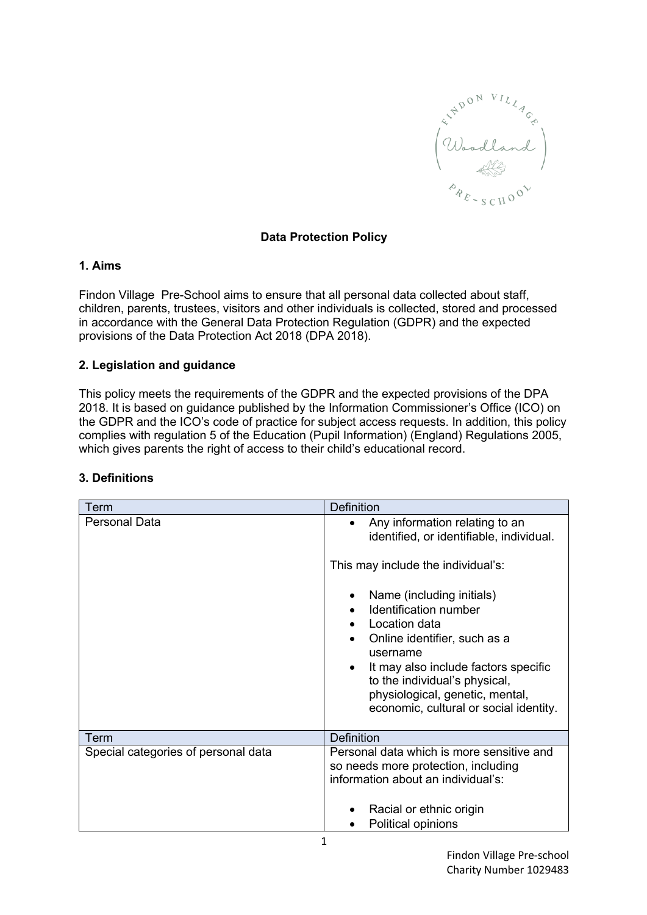

# **Data Protection Policy**

#### **1. Aims**

Findon Village Pre-School aims to ensure that all personal data collected about staff, children, parents, trustees, visitors and other individuals is collected, stored and processed in accordance with the General Data Protection Regulation (GDPR) and the expected provisions of the Data Protection Act 2018 (DPA 2018).

### **2. Legislation and guidance**

This policy meets the requirements of the GDPR and the expected provisions of the DPA 2018. It is based on guidance published by the Information Commissioner's Office (ICO) on the GDPR and the ICO's code of practice for subject access requests. In addition, this policy complies with regulation 5 of the Education (Pupil Information) (England) Regulations 2005, which gives parents the right of access to their child's educational record.

| Term                                | <b>Definition</b>                                                                                                                                                                                                                                                                  |
|-------------------------------------|------------------------------------------------------------------------------------------------------------------------------------------------------------------------------------------------------------------------------------------------------------------------------------|
| <b>Personal Data</b>                | Any information relating to an<br>$\bullet$<br>identified, or identifiable, individual.                                                                                                                                                                                            |
|                                     | This may include the individual's:                                                                                                                                                                                                                                                 |
|                                     | Name (including initials)<br>Identification number<br>Location data<br>Online identifier, such as a<br>username<br>It may also include factors specific<br>$\bullet$<br>to the individual's physical,<br>physiological, genetic, mental,<br>economic, cultural or social identity. |
| Term                                | <b>Definition</b>                                                                                                                                                                                                                                                                  |
| Special categories of personal data | Personal data which is more sensitive and<br>so needs more protection, including<br>information about an individual's:                                                                                                                                                             |
|                                     | Racial or ethnic origin<br>Political opinions<br>1                                                                                                                                                                                                                                 |

# **3. Definitions**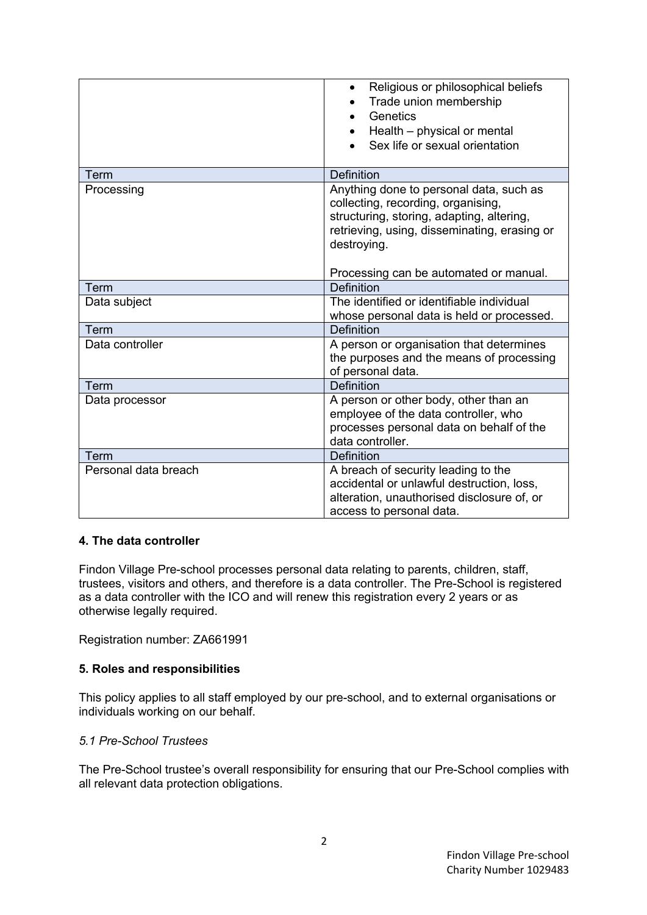|                      | Religious or philosophical beliefs<br>$\bullet$<br>Trade union membership<br>Genetics<br>Health - physical or mental<br>Sex life or sexual orientation                                    |
|----------------------|-------------------------------------------------------------------------------------------------------------------------------------------------------------------------------------------|
| Term                 | <b>Definition</b>                                                                                                                                                                         |
| Processing           | Anything done to personal data, such as<br>collecting, recording, organising,<br>structuring, storing, adapting, altering,<br>retrieving, using, disseminating, erasing or<br>destroying. |
|                      | Processing can be automated or manual.                                                                                                                                                    |
| Term                 | <b>Definition</b>                                                                                                                                                                         |
| Data subject         | The identified or identifiable individual<br>whose personal data is held or processed.                                                                                                    |
| Term                 | <b>Definition</b>                                                                                                                                                                         |
| Data controller      | A person or organisation that determines<br>the purposes and the means of processing<br>of personal data.                                                                                 |
| Term                 | Definition                                                                                                                                                                                |
| Data processor       | A person or other body, other than an<br>employee of the data controller, who<br>processes personal data on behalf of the<br>data controller.                                             |
| Term                 | <b>Definition</b>                                                                                                                                                                         |
| Personal data breach | A breach of security leading to the<br>accidental or unlawful destruction, loss,<br>alteration, unauthorised disclosure of, or<br>access to personal data.                                |

### **4. The data controller**

Findon Village Pre-school processes personal data relating to parents, children, staff, trustees, visitors and others, and therefore is a data controller. The Pre-School is registered as a data controller with the ICO and will renew this registration every 2 years or as otherwise legally required.

Registration number: ZA661991

### **5. Roles and responsibilities**

This policy applies to all staff employed by our pre-school, and to external organisations or individuals working on our behalf.

### *5.1 Pre-School Trustees*

The Pre-School trustee's overall responsibility for ensuring that our Pre-School complies with all relevant data protection obligations.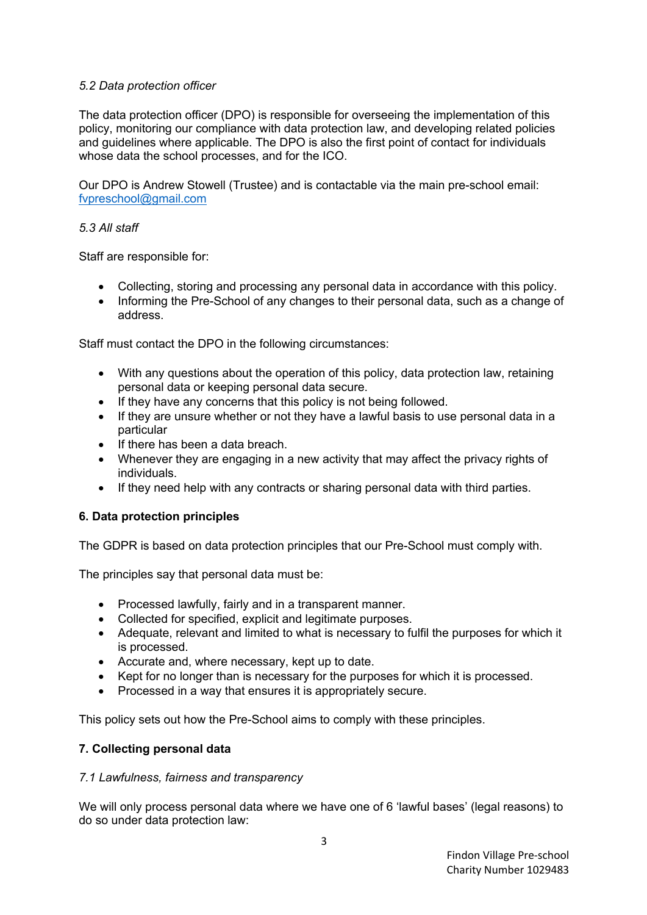# *5.2 Data protection officer*

The data protection officer (DPO) is responsible for overseeing the implementation of this policy, monitoring our compliance with data protection law, and developing related policies and guidelines where applicable. The DPO is also the first point of contact for individuals whose data the school processes, and for the ICO.

Our DPO is Andrew Stowell (Trustee) and is contactable via the main pre-school email: fvpreschool@gmail.com

## *5.3 All staff*

Staff are responsible for:

- Collecting, storing and processing any personal data in accordance with this policy.
- Informing the Pre-School of any changes to their personal data, such as a change of address.

Staff must contact the DPO in the following circumstances:

- With any questions about the operation of this policy, data protection law, retaining personal data or keeping personal data secure.
- If they have any concerns that this policy is not being followed.
- If they are unsure whether or not they have a lawful basis to use personal data in a particular
- If there has been a data breach.
- Whenever they are engaging in a new activity that may affect the privacy rights of individuals.
- If they need help with any contracts or sharing personal data with third parties.

# **6. Data protection principles**

The GDPR is based on data protection principles that our Pre-School must comply with.

The principles say that personal data must be:

- Processed lawfully, fairly and in a transparent manner.
- Collected for specified, explicit and legitimate purposes.
- Adequate, relevant and limited to what is necessary to fulfil the purposes for which it is processed.
- Accurate and, where necessary, kept up to date.
- Kept for no longer than is necessary for the purposes for which it is processed.
- Processed in a way that ensures it is appropriately secure.

This policy sets out how the Pre-School aims to comply with these principles.

### **7. Collecting personal data**

### *7.1 Lawfulness, fairness and transparency*

We will only process personal data where we have one of 6 'lawful bases' (legal reasons) to do so under data protection law: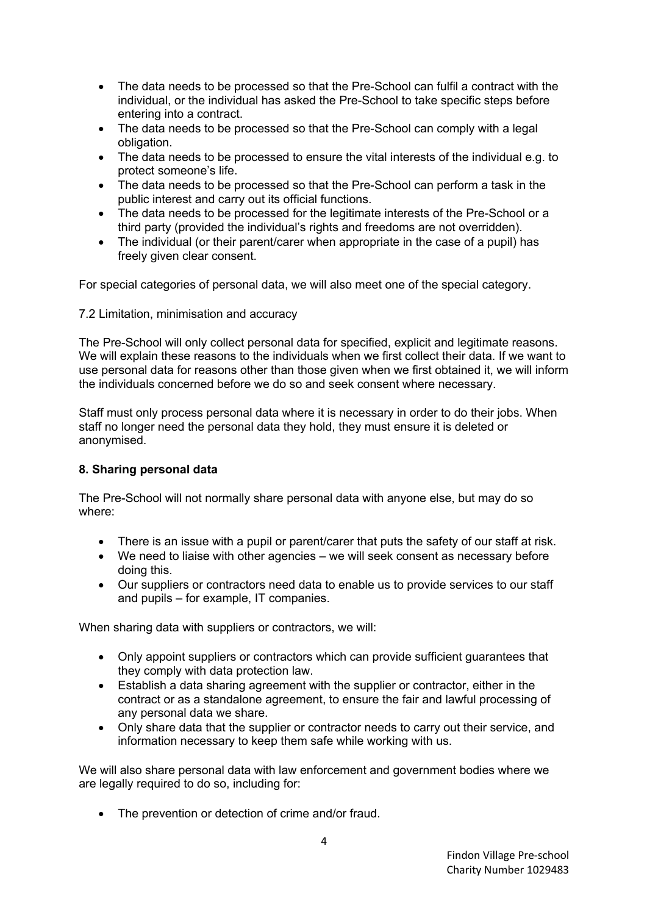- The data needs to be processed so that the Pre-School can fulfil a contract with the individual, or the individual has asked the Pre-School to take specific steps before entering into a contract.
- The data needs to be processed so that the Pre-School can comply with a legal obligation.
- The data needs to be processed to ensure the vital interests of the individual e.g. to protect someone's life.
- The data needs to be processed so that the Pre-School can perform a task in the public interest and carry out its official functions.
- The data needs to be processed for the legitimate interests of the Pre-School or a third party (provided the individual's rights and freedoms are not overridden).
- The individual (or their parent/carer when appropriate in the case of a pupil) has freely given clear consent.

For special categories of personal data, we will also meet one of the special category.

### 7.2 Limitation, minimisation and accuracy

The Pre-School will only collect personal data for specified, explicit and legitimate reasons. We will explain these reasons to the individuals when we first collect their data. If we want to use personal data for reasons other than those given when we first obtained it, we will inform the individuals concerned before we do so and seek consent where necessary.

Staff must only process personal data where it is necessary in order to do their jobs. When staff no longer need the personal data they hold, they must ensure it is deleted or anonymised.

### **8. Sharing personal data**

The Pre-School will not normally share personal data with anyone else, but may do so where:

- There is an issue with a pupil or parent/carer that puts the safety of our staff at risk.
- We need to liaise with other agencies we will seek consent as necessary before doing this.
- Our suppliers or contractors need data to enable us to provide services to our staff and pupils – for example, IT companies.

When sharing data with suppliers or contractors, we will:

- Only appoint suppliers or contractors which can provide sufficient guarantees that they comply with data protection law.
- Establish a data sharing agreement with the supplier or contractor, either in the contract or as a standalone agreement, to ensure the fair and lawful processing of any personal data we share.
- Only share data that the supplier or contractor needs to carry out their service, and information necessary to keep them safe while working with us.

We will also share personal data with law enforcement and government bodies where we are legally required to do so, including for:

• The prevention or detection of crime and/or fraud.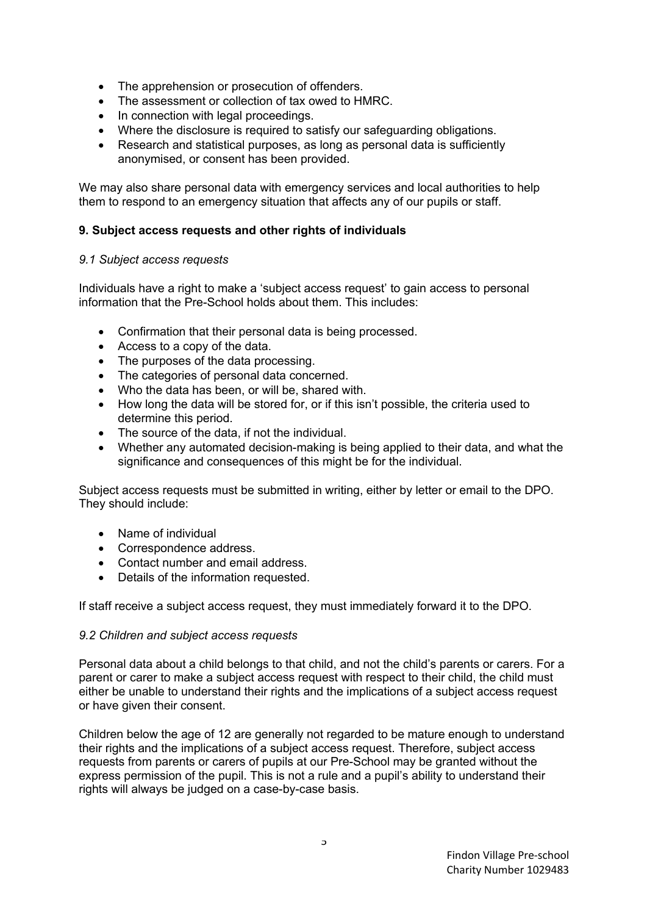- The apprehension or prosecution of offenders.
- The assessment or collection of tax owed to HMRC.
- In connection with legal proceedings.
- Where the disclosure is required to satisfy our safeguarding obligations.
- Research and statistical purposes, as long as personal data is sufficiently anonymised, or consent has been provided.

We may also share personal data with emergency services and local authorities to help them to respond to an emergency situation that affects any of our pupils or staff.

### **9. Subject access requests and other rights of individuals**

#### *9.1 Subject access requests*

Individuals have a right to make a 'subject access request' to gain access to personal information that the Pre-School holds about them. This includes:

- Confirmation that their personal data is being processed.
- Access to a copy of the data.
- The purposes of the data processing.
- The categories of personal data concerned.
- Who the data has been, or will be, shared with.
- How long the data will be stored for, or if this isn't possible, the criteria used to determine this period.
- The source of the data, if not the individual.
- Whether any automated decision-making is being applied to their data, and what the significance and consequences of this might be for the individual.

Subject access requests must be submitted in writing, either by letter or email to the DPO. They should include:

- Name of individual
- Correspondence address.
- Contact number and email address.
- Details of the information requested.

If staff receive a subject access request, they must immediately forward it to the DPO.

#### *9.2 Children and subject access requests*

Personal data about a child belongs to that child, and not the child's parents or carers. For a parent or carer to make a subject access request with respect to their child, the child must either be unable to understand their rights and the implications of a subject access request or have given their consent.

Children below the age of 12 are generally not regarded to be mature enough to understand their rights and the implications of a subject access request. Therefore, subject access requests from parents or carers of pupils at our Pre-School may be granted without the express permission of the pupil. This is not a rule and a pupil's ability to understand their rights will always be judged on a case-by-case basis.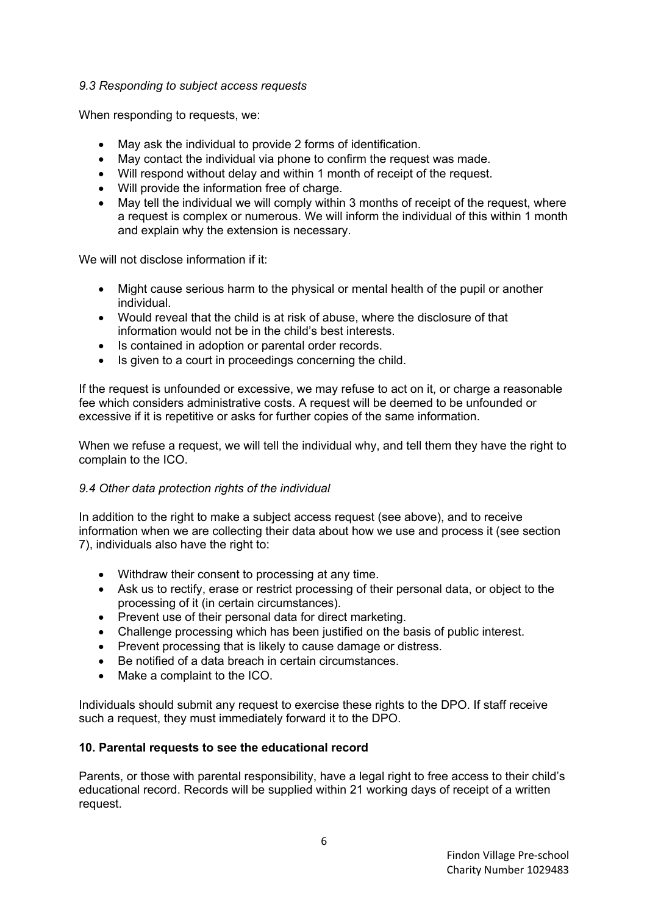## *9.3 Responding to subject access requests*

When responding to requests, we:

- May ask the individual to provide 2 forms of identification.
- May contact the individual via phone to confirm the request was made.
- Will respond without delay and within 1 month of receipt of the request.
- Will provide the information free of charge.
- May tell the individual we will comply within 3 months of receipt of the request, where a request is complex or numerous. We will inform the individual of this within 1 month and explain why the extension is necessary.

We will not disclose information if it:

- Might cause serious harm to the physical or mental health of the pupil or another individual.
- Would reveal that the child is at risk of abuse, where the disclosure of that information would not be in the child's best interests.
- Is contained in adoption or parental order records.
- Is given to a court in proceedings concerning the child.

If the request is unfounded or excessive, we may refuse to act on it, or charge a reasonable fee which considers administrative costs. A request will be deemed to be unfounded or excessive if it is repetitive or asks for further copies of the same information.

When we refuse a request, we will tell the individual why, and tell them they have the right to complain to the ICO.

### *9.4 Other data protection rights of the individual*

In addition to the right to make a subject access request (see above), and to receive information when we are collecting their data about how we use and process it (see section 7), individuals also have the right to:

- Withdraw their consent to processing at any time.
- Ask us to rectify, erase or restrict processing of their personal data, or object to the processing of it (in certain circumstances).
- Prevent use of their personal data for direct marketing.
- Challenge processing which has been justified on the basis of public interest.
- Prevent processing that is likely to cause damage or distress.
- Be notified of a data breach in certain circumstances.
- Make a complaint to the ICO.

Individuals should submit any request to exercise these rights to the DPO. If staff receive such a request, they must immediately forward it to the DPO.

# **10. Parental requests to see the educational record**

Parents, or those with parental responsibility, have a legal right to free access to their child's educational record. Records will be supplied within 21 working days of receipt of a written request.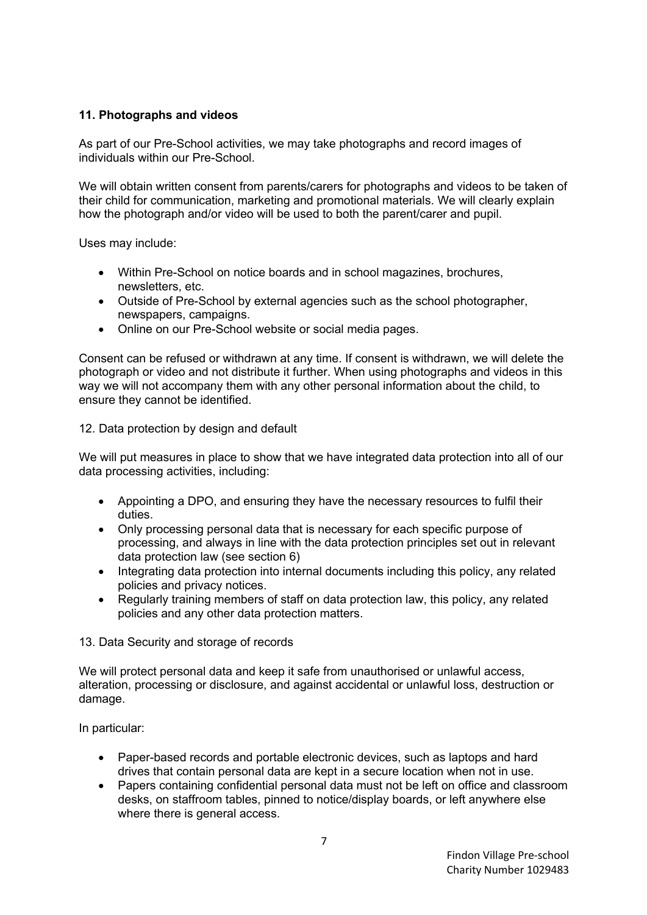# **11. Photographs and videos**

As part of our Pre-School activities, we may take photographs and record images of individuals within our Pre-School.

We will obtain written consent from parents/carers for photographs and videos to be taken of their child for communication, marketing and promotional materials. We will clearly explain how the photograph and/or video will be used to both the parent/carer and pupil.

Uses may include:

- Within Pre-School on notice boards and in school magazines, brochures, newsletters, etc.
- Outside of Pre-School by external agencies such as the school photographer, newspapers, campaigns.
- Online on our Pre-School website or social media pages.

Consent can be refused or withdrawn at any time. If consent is withdrawn, we will delete the photograph or video and not distribute it further. When using photographs and videos in this way we will not accompany them with any other personal information about the child, to ensure they cannot be identified.

#### 12. Data protection by design and default

We will put measures in place to show that we have integrated data protection into all of our data processing activities, including:

- Appointing a DPO, and ensuring they have the necessary resources to fulfil their duties.
- Only processing personal data that is necessary for each specific purpose of processing, and always in line with the data protection principles set out in relevant data protection law (see section 6)
- Integrating data protection into internal documents including this policy, any related policies and privacy notices.
- Regularly training members of staff on data protection law, this policy, any related policies and any other data protection matters.

### 13. Data Security and storage of records

We will protect personal data and keep it safe from unauthorised or unlawful access, alteration, processing or disclosure, and against accidental or unlawful loss, destruction or damage.

In particular:

- Paper-based records and portable electronic devices, such as laptops and hard drives that contain personal data are kept in a secure location when not in use.
- Papers containing confidential personal data must not be left on office and classroom desks, on staffroom tables, pinned to notice/display boards, or left anywhere else where there is general access.